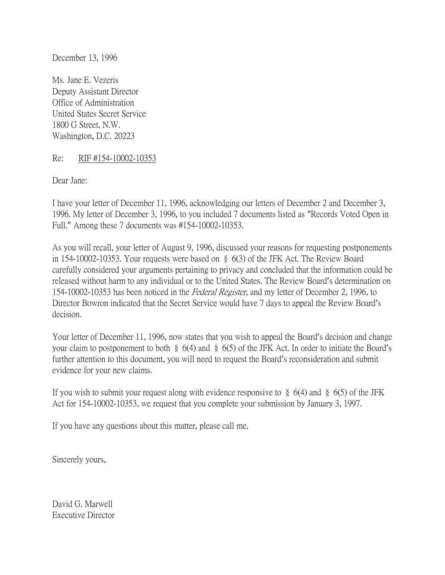December 13, 1996

Ms. Jane E. Vezeris Deputy Assistant Director Office of Administration United States Secret Service 1800 G Street, N.W. Washington, D.C. 20223

Re: RIF #154-10002-10353

Dear Jane:

I have your letter of December 11, 1996, acknowledging our letters of December 2 and December 3, 1996. My letter of December 3, 1996, to you included 7 documents listed as "Records Voted Open in Full." Among these 7 documents was #154-10002-10353.

As you will recall, your letter of August 9, 1996, discussed your reasons for requesting postponements in 154-10002-10353. Your requests were based on § 6(3) of the JFK Act. The Review Board carefully considered your arguments pertaining to privacy and concluded that the information could be released without harm to any individual or to the United States. The Review Board's determination on 154-10002-10353 has been noticed in the *Federal Register*, and my letter of December 2, 1996, to Director Bowron indicated that the Secret Service would have 7 days to appeal the Review Board's decision.

Your letter of December 11, 1996, now states that you wish to appeal the Board's decision and change your claim to postponement to both § 6(4) and § 6(5) of the JFK Act. In order to initiate the Board's further attention to this document, you will need to request the Board's reconsideration and submit evidence for your new claims.

If you wish to submit your request along with evidence responsive to  $\S$  6(4) and  $\S$  6(5) of the JFK Act for 154-10002-10353, we request that you complete your submission by January 3, 1997.

If you have any questions about this matter, please call me.

Sincerely yours,

David G. Marwell Executive Director